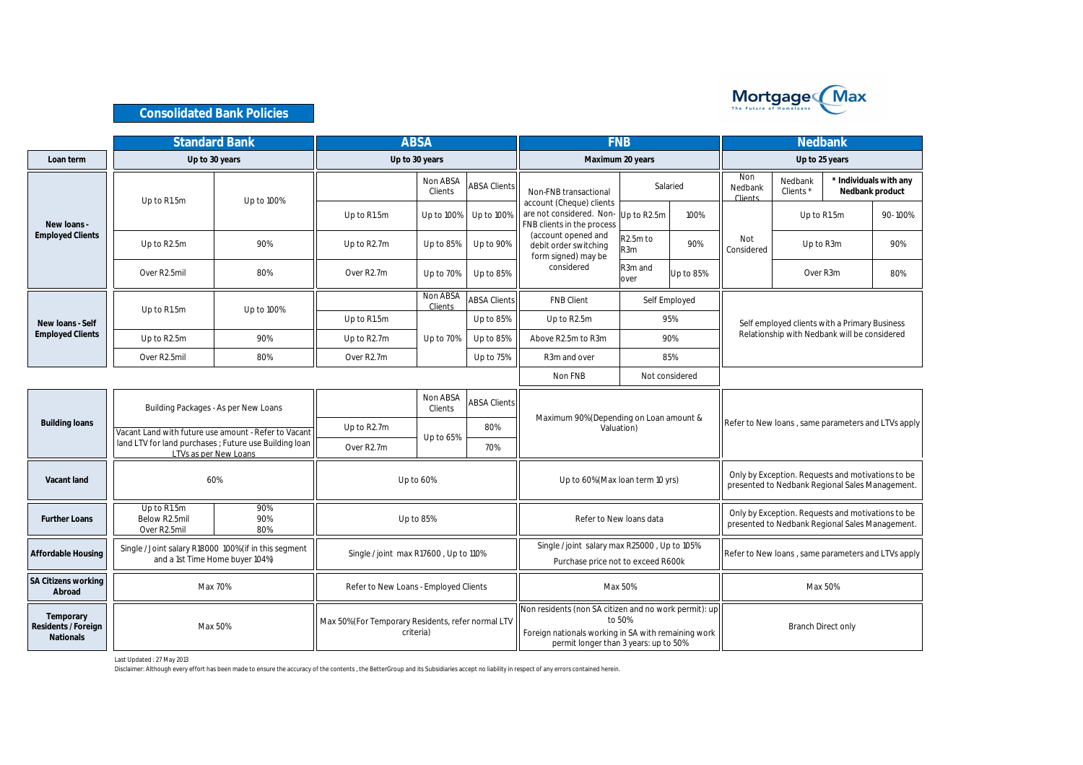

**Consolidated Bank Policies**

|                                                             |                                              | <b>Standard Bank</b>                                                            |                                                    | <b>ABSA</b>         |                     |                                                                                                                                                       | FNB                          |                | <b>Nedbank</b>                                                                                       |          |                                                    |     |
|-------------------------------------------------------------|----------------------------------------------|---------------------------------------------------------------------------------|----------------------------------------------------|---------------------|---------------------|-------------------------------------------------------------------------------------------------------------------------------------------------------|------------------------------|----------------|------------------------------------------------------------------------------------------------------|----------|----------------------------------------------------|-----|
| Loan term                                                   |                                              | Up to 30 years                                                                  |                                                    | Up to 30 years      |                     |                                                                                                                                                       | Maximum 20 years             |                | Up to 25 years                                                                                       |          |                                                    |     |
|                                                             | Up to R1.5m                                  | Up to 100%                                                                      |                                                    | Non ABSA<br>Clients | <b>ABSA Clients</b> | Non-FNB transactional                                                                                                                                 |                              | Salaried       | Non<br>Nedbank<br>Nedbank<br>Clients <sup>*</sup><br>Clients                                         |          | * Individuals with any<br>Nedbank product          |     |
| New loans -                                                 |                                              |                                                                                 | Up to R1.5m                                        | Up to 100%          | Up to 100%          | account (Cheque) clients<br>are not considered. Non-<br>FNB clients in the process                                                                    | Up to R2.5m                  | 100%           |                                                                                                      |          | Up to R1.5m<br>90-100%                             |     |
| <b>Employed Clients</b>                                     | Up to R2.5m                                  | 90%                                                                             | Up to R2.7m                                        | Up to 85%           | Up to 90%           | (account opened and<br>debit order switching<br>form signed) may be                                                                                   | R <sub>2.5</sub> m to<br>R3m | 90%            | Not<br>Considered                                                                                    |          | 90%<br>Up to R3m                                   |     |
|                                                             | Over R2.5mil                                 | 80%                                                                             | Over R2.7m                                         | Up to 70%           | Up to 85%           | considered                                                                                                                                            | R3m and<br>over              | Up to 85%      |                                                                                                      | Over R3m |                                                    | 80% |
|                                                             |                                              |                                                                                 |                                                    | Non ABSA<br>Clients | <b>ABSA Clients</b> | <b>FNB Client</b>                                                                                                                                     |                              | Self Employed  |                                                                                                      |          |                                                    |     |
| New loans - Self                                            | Up to R1.5m                                  | Up to 100%                                                                      | Up to R1.5m                                        |                     | Up to 85%           | Up to R2.5m                                                                                                                                           |                              | 95%            | Self employed clients with a Primary Business                                                        |          |                                                    |     |
| <b>Employed Clients</b>                                     | Up to R2.5m                                  | 90%                                                                             | Up to R2.7m                                        | Up to 70%           | Up to 85%           | Above R2.5m to R3m                                                                                                                                    |                              | 90%            | Relationship with Nedbank will be considered                                                         |          |                                                    |     |
|                                                             | Over R <sub>2</sub> .5mil                    | 80%                                                                             | Over R <sub>2.7</sub> m                            |                     | Up to 75%           | R3m and over                                                                                                                                          |                              | 85%            |                                                                                                      |          |                                                    |     |
|                                                             |                                              |                                                                                 |                                                    |                     |                     | Non FNB                                                                                                                                               |                              | Not considered |                                                                                                      |          |                                                    |     |
|                                                             |                                              | Building Packages - As per New Loans                                            |                                                    | Non ABSA<br>Clients | <b>ABSA Clients</b> | Maximum 90% (Depending on Loan amount &                                                                                                               |                              |                |                                                                                                      |          |                                                    |     |
| <b>Building loans</b>                                       |                                              | Vacant Land with future use amount - Refer to Vacant                            | Up to R2.7m                                        | Up to 65%           | 80%                 |                                                                                                                                                       | Valuation)                   |                |                                                                                                      |          | Refer to New Joans, same parameters and LTVs apply |     |
|                                                             |                                              | land LTV for land purchases ; Future use Building loan<br>LTVs as per New Loans | Over R2.7m                                         |                     | 70%                 |                                                                                                                                                       |                              |                |                                                                                                      |          |                                                    |     |
| <b>Vacant land</b>                                          |                                              | 60%                                                                             |                                                    | Up to 60%           |                     | Up to 60% (Max loan term 10 yrs)                                                                                                                      |                              |                | Only by Exception. Requests and motivations to be<br>presented to Nedbank Regional Sales Management. |          |                                                    |     |
| <b>Further Loans</b>                                        | Up to R1.5m<br>Below R2.5mil<br>Over R2.5mil | 90%<br>90%<br>80%                                                               |                                                    | Up to 85%           |                     |                                                                                                                                                       | Refer to New Ioans data      |                | Only by Exception. Requests and motivations to be<br>presented to Nedbank Regional Sales Management. |          |                                                    |     |
| <b>Affordable Housing</b>                                   | and a 1st Time Home buyer 104%)              | Single / Joint salary R18000 100% (if in this segment                           | Single / joint max R17600, Up to 110%              |                     |                     | Single / joint salary max R25000, Up to 105%.<br>Purchase price not to exceed R600k                                                                   |                              |                | Refer to New loans, same parameters and LTVs apply                                                   |          |                                                    |     |
| <b>SA Citizens working</b><br>Abroad                        |                                              | Max 70%                                                                         | Refer to New Loans - Employed Clients              |                     |                     |                                                                                                                                                       | Max 50%                      |                | Max 50%                                                                                              |          |                                                    |     |
| Temporary<br><b>Residents / Foreign</b><br><b>Nationals</b> |                                              | Max 50%                                                                         | Max 50% (For Temporary Residents, refer normal LTV | criteria)           |                     | Non residents (non SA citizen and no work permit): up<br>Foreign nationals working in SA with remaining work<br>permit longer than 3 years: up to 50% | to 50%                       |                | <b>Branch Direct only</b>                                                                            |          |                                                    |     |

Last Updated : 27 May 2013

Disclaimer: Although every effort has been made to ensure the accuracy of the contents , the BetterGroup and its Subsidiaries accept no liability in respect of any errors contained herein.